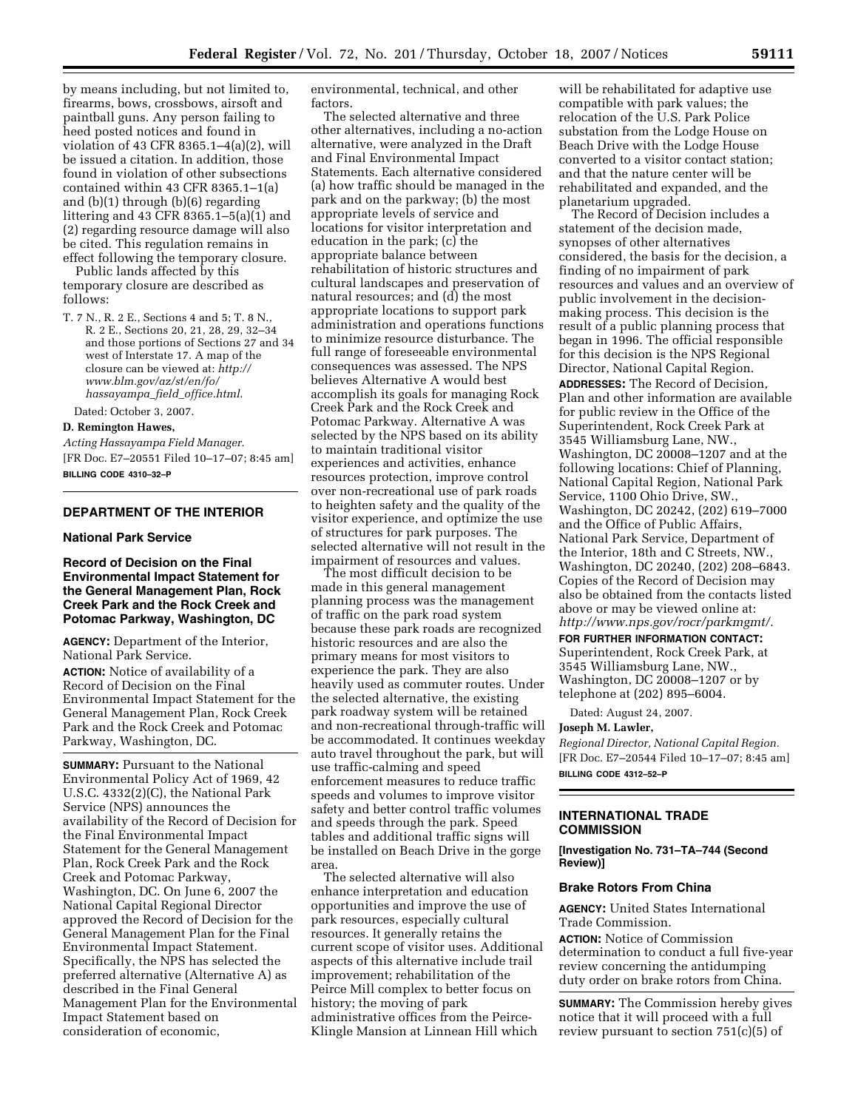by means including, but not limited to, firearms, bows, crossbows, airsoft and paintball guns. Any person failing to heed posted notices and found in violation of 43 CFR 8365.1–4(a)(2), will be issued a citation. In addition, those found in violation of other subsections contained within 43 CFR 8365.1–1(a) and (b)(1) through (b)(6) regarding littering and 43 CFR 8365.1–5(a)(1) and (2) regarding resource damage will also be cited. This regulation remains in effect following the temporary closure.

Public lands affected by this temporary closure are described as follows:

T. 7 N., R. 2 E., Sections 4 and 5; T. 8 N., R. 2 E., Sections 20, 21, 28, 29, 32–34 and those portions of Sections 27 and 34 west of Interstate 17. A map of the closure can be viewed at: *http:// www.blm.gov/az/st/en/fo/ hassayampa*\_*field*\_*office.html*.

Dated: October 3, 2007.

#### **D. Remington Hawes,**

*Acting Hassayampa Field Manager.*  [FR Doc. E7–20551 Filed 10–17–07; 8:45 am] **BILLING CODE 4310–32–P** 

#### **DEPARTMENT OF THE INTERIOR**

# **National Park Service**

**Record of Decision on the Final Environmental Impact Statement for the General Management Plan, Rock Creek Park and the Rock Creek and Potomac Parkway, Washington, DC** 

**AGENCY:** Department of the Interior, National Park Service.

**ACTION:** Notice of availability of a Record of Decision on the Final Environmental Impact Statement for the General Management Plan, Rock Creek Park and the Rock Creek and Potomac Parkway, Washington, DC.

**SUMMARY: Pursuant to the National** Environmental Policy Act of 1969, 42 U.S.C. 4332(2)(C), the National Park Service (NPS) announces the availability of the Record of Decision for the Final Environmental Impact Statement for the General Management Plan, Rock Creek Park and the Rock Creek and Potomac Parkway, Washington, DC. On June 6, 2007 the National Capital Regional Director approved the Record of Decision for the General Management Plan for the Final Environmental Impact Statement. Specifically, the NPS has selected the preferred alternative (Alternative A) as described in the Final General Management Plan for the Environmental Impact Statement based on consideration of economic,

environmental, technical, and other factors.

The selected alternative and three other alternatives, including a no-action alternative, were analyzed in the Draft and Final Environmental Impact Statements. Each alternative considered (a) how traffic should be managed in the park and on the parkway; (b) the most appropriate levels of service and locations for visitor interpretation and education in the park; (c) the appropriate balance between rehabilitation of historic structures and cultural landscapes and preservation of natural resources; and (d) the most appropriate locations to support park administration and operations functions to minimize resource disturbance. The full range of foreseeable environmental consequences was assessed. The NPS believes Alternative A would best accomplish its goals for managing Rock Creek Park and the Rock Creek and Potomac Parkway. Alternative A was selected by the NPS based on its ability to maintain traditional visitor experiences and activities, enhance resources protection, improve control over non-recreational use of park roads to heighten safety and the quality of the visitor experience, and optimize the use of structures for park purposes. The selected alternative will not result in the impairment of resources and values.

The most difficult decision to be made in this general management planning process was the management of traffic on the park road system because these park roads are recognized historic resources and are also the primary means for most visitors to experience the park. They are also heavily used as commuter routes. Under the selected alternative, the existing park roadway system will be retained and non-recreational through-traffic will be accommodated. It continues weekday auto travel throughout the park, but will use traffic-calming and speed enforcement measures to reduce traffic speeds and volumes to improve visitor safety and better control traffic volumes and speeds through the park. Speed tables and additional traffic signs will be installed on Beach Drive in the gorge area.

The selected alternative will also enhance interpretation and education opportunities and improve the use of park resources, especially cultural resources. It generally retains the current scope of visitor uses. Additional aspects of this alternative include trail improvement; rehabilitation of the Peirce Mill complex to better focus on history; the moving of park administrative offices from the Peirce-Klingle Mansion at Linnean Hill which

will be rehabilitated for adaptive use compatible with park values; the relocation of the U.S. Park Police substation from the Lodge House on Beach Drive with the Lodge House converted to a visitor contact station; and that the nature center will be rehabilitated and expanded, and the planetarium upgraded.

The Record of Decision includes a statement of the decision made, synopses of other alternatives considered, the basis for the decision, a finding of no impairment of park resources and values and an overview of public involvement in the decisionmaking process. This decision is the result of a public planning process that began in 1996. The official responsible for this decision is the NPS Regional Director, National Capital Region. **ADDRESSES:** The Record of Decision, Plan and other information are available for public review in the Office of the Superintendent, Rock Creek Park at 3545 Williamsburg Lane, NW., Washington, DC 20008–1207 and at the following locations: Chief of Planning, National Capital Region, National Park Service, 1100 Ohio Drive, SW., Washington, DC 20242, (202) 619–7000 and the Office of Public Affairs, National Park Service, Department of the Interior, 18th and C Streets, NW., Washington, DC 20240, (202) 208–6843. Copies of the Record of Decision may also be obtained from the contacts listed above or may be viewed online at: *http://www.nps.gov/rocr/parkmgmt/.* 

#### **FOR FURTHER INFORMATION CONTACT:**

Superintendent, Rock Creek Park, at 3545 Williamsburg Lane, NW., Washington, DC 20008–1207 or by telephone at (202) 895–6004.

Dated: August 24, 2007.

#### **Joseph M. Lawler,**

*Regional Director, National Capital Region.*  [FR Doc. E7–20544 Filed 10–17–07; 8:45 am] **BILLING CODE 4312–52–P** 

#### **INTERNATIONAL TRADE COMMISSION**

**[Investigation No. 731–TA–744 (Second Review)]** 

#### **Brake Rotors From China**

**AGENCY:** United States International Trade Commission.

**ACTION:** Notice of Commission determination to conduct a full five-year review concerning the antidumping duty order on brake rotors from China.

**SUMMARY:** The Commission hereby gives notice that it will proceed with a full review pursuant to section 751(c)(5) of